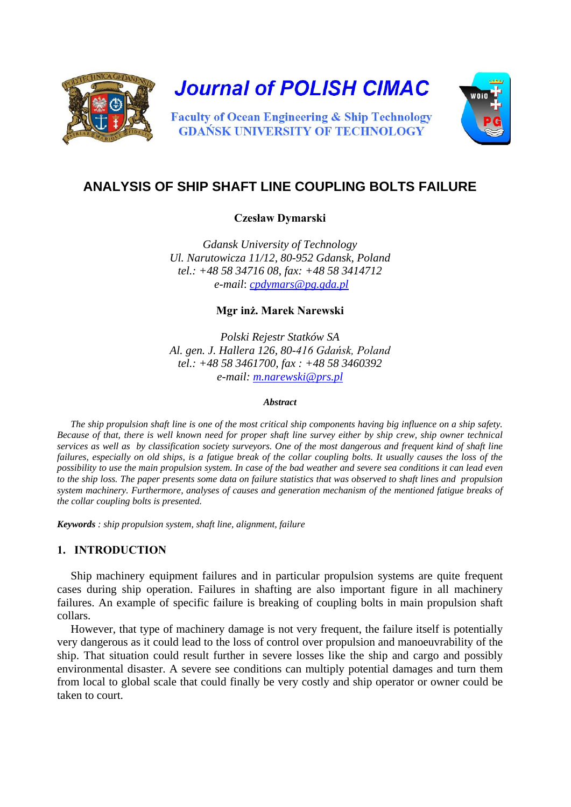

**Journal of POLISH CIMAC** 

**Faculty of Ocean Engineering & Ship Technology GDANSK UNIVERSITY OF TECHNOLOGY** 



# **ANALYSIS OF SHIP SHAFT LINE COUPLING BOLTS FAILURE**

## **Czesław Dymarski**

*Gdansk University of Technology Ul. Narutowicza 11/12, 80-952 Gdansk, Poland tel.: +48 58 34716 08, fax: +48 58 3414712 e-mail*: *[cpdymars@pg.gda.pl](mailto:cpdymars@pg.gda.pl)*

**Mgr inż. Marek Narewski** 

*Polski Rejestr Statków SA Al. gen. J. Hallera 126, 80-416 Gdańsk, Poland tel.: +48 58 3461700, fax : +48 58 3460392 e-mail: [m.narewski@prs.pl](mailto:m.narewski@prs.pl)*

#### *Abstract*

*The ship propulsion shaft line is one of the most critical ship components having big influence on a ship safety. Because of that, there is well known need for proper shaft line survey either by ship crew, ship owner technical services as well as by classification society surveyors. One of the most dangerous and frequent kind of shaft line failures, especially on old ships, is a fatigue break of the collar coupling bolts. It usually causes the loss of the possibility to use the main propulsion system. In case of the bad weather and severe sea conditions it can lead even to the ship loss. The paper presents some data on failure statistics that was observed to shaft lines and propulsion system machinery. Furthermore, analyses of causes and generation mechanism of the mentioned fatigue breaks of the collar coupling bolts is presented.*

*Keywords : ship propulsion system, shaft line, alignment, failure*

# **1. INTRODUCTION**

Ship machinery equipment failures and in particular propulsion systems are quite frequent cases during ship operation. Failures in shafting are also important figure in all machinery failures. An example of specific failure is breaking of coupling bolts in main propulsion shaft collars.

However, that type of machinery damage is not very frequent, the failure itself is potentially very dangerous as it could lead to the loss of control over propulsion and manoeuvrability of the ship. That situation could result further in severe losses like the ship and cargo and possibly environmental disaster. A severe see conditions can multiply potential damages and turn them from local to global scale that could finally be very costly and ship operator or owner could be taken to court.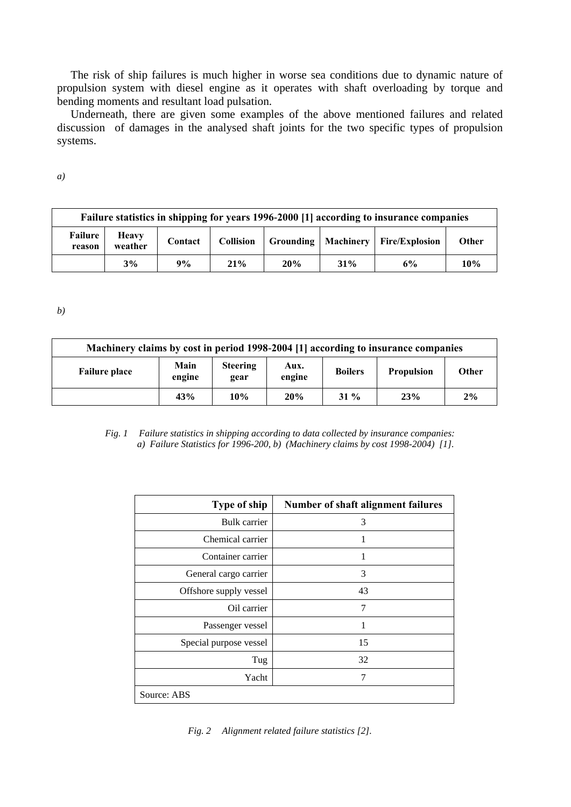The risk of ship failures is much higher in worse sea conditions due to dynamic nature of propulsion system with diesel engine as it operates with shaft overloading by torque and bending moments and resultant load pulsation.

Underneath, there are given some examples of the above mentioned failures and related discussion of damages in the analysed shaft joints for the two specific types of propulsion systems.

*a)*

| Failure statistics in shipping for years 1996-2000 [1] according to insurance companies |                         |         |                  |     |     |                                        |              |
|-----------------------------------------------------------------------------------------|-------------------------|---------|------------------|-----|-----|----------------------------------------|--------------|
| Failure<br>reason                                                                       | <b>Heavy</b><br>weather | Contact | <b>Collision</b> |     |     | Grounding   Machinery   Fire/Explosion | <b>Other</b> |
|                                                                                         | 3%                      | 9%      | 21%              | 20% | 31% | 6%                                     | 10%          |

*b)* 

| Machinery claims by cost in period 1998-2004 [1] according to insurance companies |                |                         |                |                |                   |              |  |
|-----------------------------------------------------------------------------------|----------------|-------------------------|----------------|----------------|-------------------|--------------|--|
| <b>Failure place</b>                                                              | Main<br>engine | <b>Steering</b><br>gear | Aux.<br>engine | <b>Boilers</b> | <b>Propulsion</b> | <b>Other</b> |  |
|                                                                                   | 43%            | 10%                     | 20%            | $31\%$         | 23%               | 2%           |  |

#### *Fig. 1 Failure statistics in shipping according to data collected by insurance companies: a) Failure Statistics for 1996-200, b) (Machinery claims by cost 1998-2004) [1].*

| Type of ship           | Number of shaft alignment failures |  |  |  |  |
|------------------------|------------------------------------|--|--|--|--|
| <b>Bulk</b> carrier    | 3                                  |  |  |  |  |
| Chemical carrier       | 1                                  |  |  |  |  |
| Container carrier      | 1                                  |  |  |  |  |
| General cargo carrier  | 3                                  |  |  |  |  |
| Offshore supply vessel | 43                                 |  |  |  |  |
| Oil carrier            | 7                                  |  |  |  |  |
| Passenger vessel       | 1                                  |  |  |  |  |
| Special purpose vessel | 15                                 |  |  |  |  |
| Tug                    | 32                                 |  |  |  |  |
| Yacht                  | 7                                  |  |  |  |  |
| Source: ABS            |                                    |  |  |  |  |

*Fig. 2 Alignment related failure statistics [2].*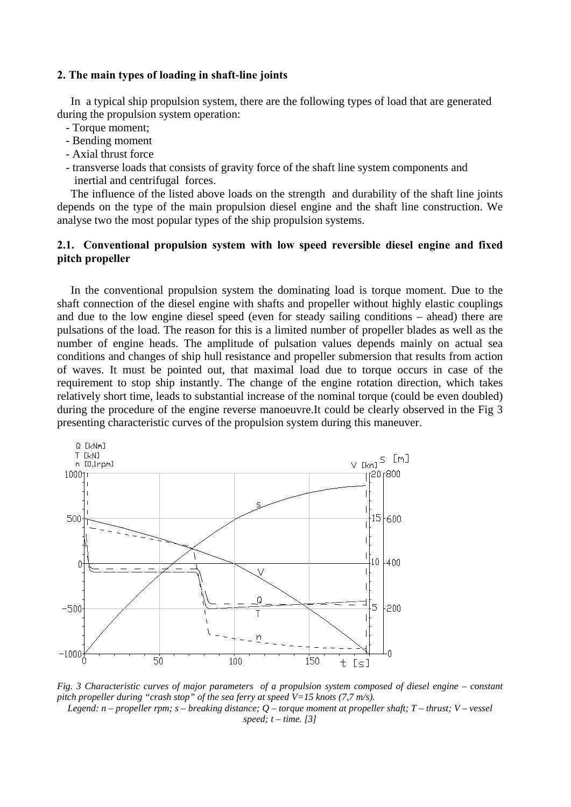#### **2. The main types of loading in shaft-line joints**

In a typical ship propulsion system, there are the following types of load that are generated during the propulsion system operation:

- Torque moment;
- Bending moment
- Axial thrust force
- transverse loads that consists of gravity force of the shaft line system components and inertial and centrifugal forces.

The influence of the listed above loads on the strength and durability of the shaft line joints depends on the type of the main propulsion diesel engine and the shaft line construction. We analyse two the most popular types of the ship propulsion systems.

# **2.1. Conventional propulsion system with low speed reversible diesel engine and fixed pitch propeller**

In the conventional propulsion system the dominating load is torque moment. Due to the shaft connection of the diesel engine with shafts and propeller without highly elastic couplings and due to the low engine diesel speed (even for steady sailing conditions – ahead) there are pulsations of the load. The reason for this is a limited number of propeller blades as well as the number of engine heads. The amplitude of pulsation values depends mainly on actual sea conditions and changes of ship hull resistance and propeller submersion that results from action of waves. It must be pointed out, that maximal load due to torque occurs in case of the requirement to stop ship instantly. The change of the engine rotation direction, which takes relatively short time, leads to substantial increase of the nominal torque (could be even doubled) during the procedure of the engine reverse manoeuvre.It could be clearly observed in the Fig 3 presenting characteristic curves of the propulsion system during this maneuver.



*Fig. 3 Characteristic curves of major parameters of a propulsion system composed of diesel engine – constant pitch propeller during "crash stop" of the sea ferry at speed V=15 knots (7,7 m/s). Legend: n – propeller rpm; s – breaking distance; Q – torque moment at propeller shaft; T – thrust; V – vessel* 

*speed; t – time. [3]*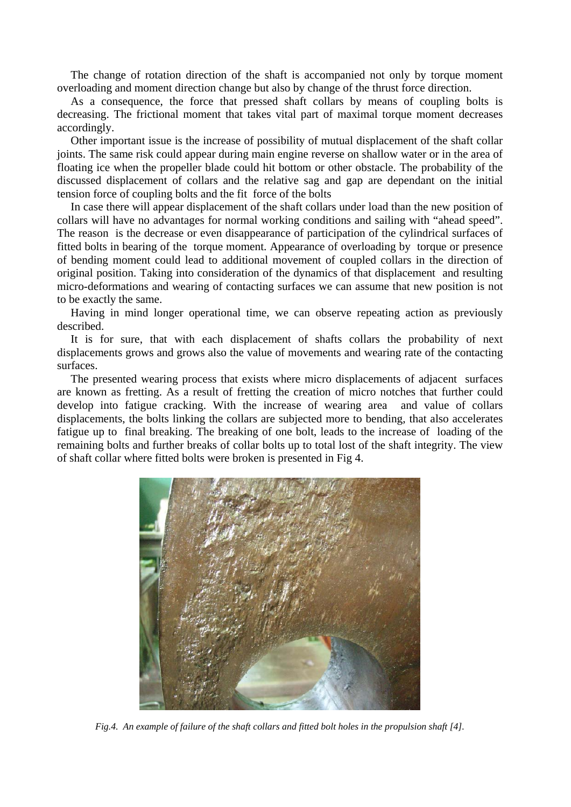The change of rotation direction of the shaft is accompanied not only by torque moment overloading and moment direction change but also by change of the thrust force direction.

As a consequence, the force that pressed shaft collars by means of coupling bolts is decreasing. The frictional moment that takes vital part of maximal torque moment decreases accordingly.

Other important issue is the increase of possibility of mutual displacement of the shaft collar joints. The same risk could appear during main engine reverse on shallow water or in the area of floating ice when the propeller blade could hit bottom or other obstacle. The probability of the discussed displacement of collars and the relative sag and gap are dependant on the initial tension force of coupling bolts and the fit force of the bolts

In case there will appear displacement of the shaft collars under load than the new position of collars will have no advantages for normal working conditions and sailing with "ahead speed". The reason is the decrease or even disappearance of participation of the cylindrical surfaces of fitted bolts in bearing of the torque moment. Appearance of overloading by torque or presence of bending moment could lead to additional movement of coupled collars in the direction of original position. Taking into consideration of the dynamics of that displacement and resulting micro-deformations and wearing of contacting surfaces we can assume that new position is not to be exactly the same.

Having in mind longer operational time, we can observe repeating action as previously described.

It is for sure, that with each displacement of shafts collars the probability of next displacements grows and grows also the value of movements and wearing rate of the contacting surfaces.

The presented wearing process that exists where micro displacements of adjacent surfaces are known as fretting. As a result of fretting the creation of micro notches that further could develop into fatigue cracking. With the increase of wearing area and value of collars displacements, the bolts linking the collars are subjected more to bending, that also accelerates fatigue up to final breaking. The breaking of one bolt, leads to the increase of loading of the remaining bolts and further breaks of collar bolts up to total lost of the shaft integrity. The view of shaft collar where fitted bolts were broken is presented in Fig 4.



*Fig.4. An example of failure of the shaft collars and fitted bolt holes in the propulsion shaft [4].*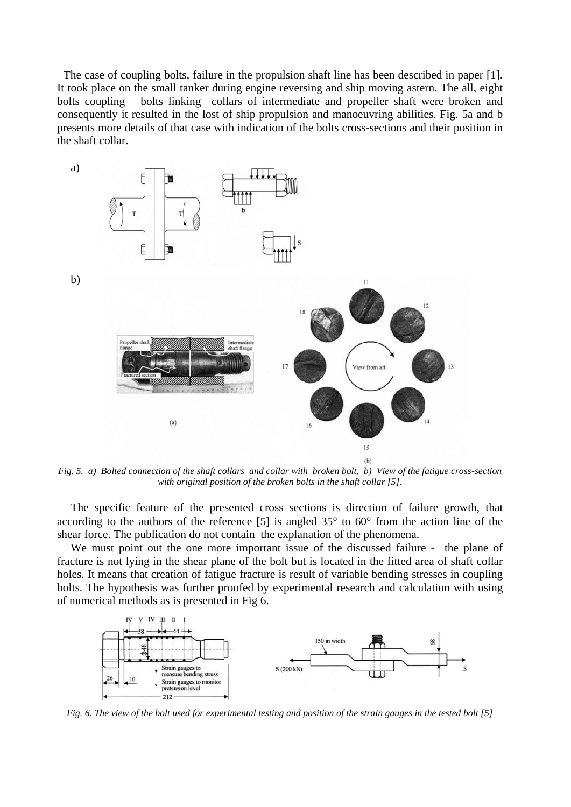The case of coupling bolts, failure in the propulsion shaft line has been described in paper [1]. It took place on the small tanker during engine reversing and ship moving astern. The all, eight bolts coupling bolts linking collars of intermediate and propeller shaft were broken and consequently it resulted in the lost of ship propulsion and manoeuvring abilities. Fig. 5a and b presents more details of that case with indication of the bolts cross-sections and their position in the shaft collar.

![](_page_4_Figure_1.jpeg)

*Fig. 5. a) Bolted connection of the shaft collars and collar with broken bolt, b) View of the fatigue cross-section with original position of the broken bolts in the shaft collar [5].*

The specific feature of the presented cross sections is direction of failure growth, that according to the authors of the reference [5] is angled 35° to 60° from the action line of the shear force. The publication do not contain the explanation of the phenomena.

We must point out the one more important issue of the discussed failure - the plane of fracture is not lying in the shear plane of the bolt but is located in the fitted area of shaft collar holes. It means that creation of fatigue fracture is result of variable bending stresses in coupling bolts. The hypothesis was further proofed by experimental research and calculation with using of numerical methods as is presented in Fig 6.

![](_page_4_Figure_5.jpeg)

*Fig. 6. The view of the bolt used for experimental testing and position of the strain gauges in the tested bolt [5]*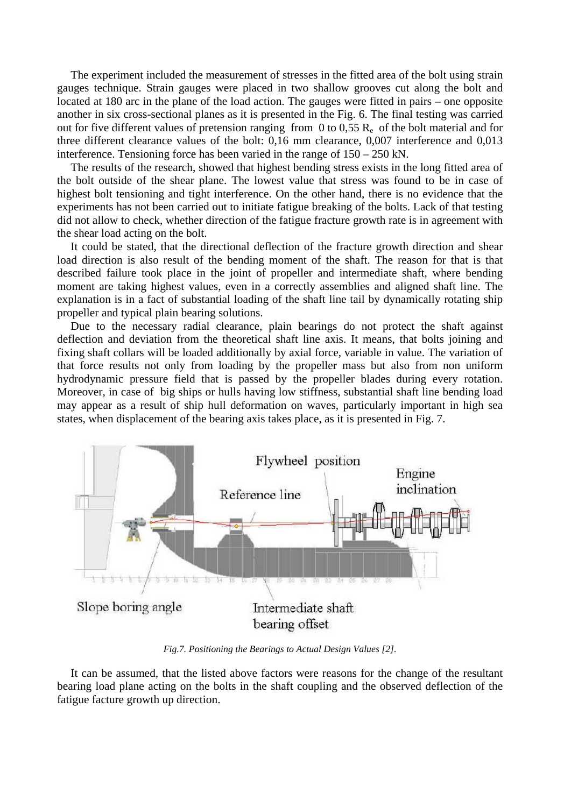The experiment included the measurement of stresses in the fitted area of the bolt using strain gauges technique. Strain gauges were placed in two shallow grooves cut along the bolt and located at 180 arc in the plane of the load action. The gauges were fitted in pairs – one opposite another in six cross-sectional planes as it is presented in the Fig. 6. The final testing was carried out for five different values of pretension ranging from 0 to 0,55  $R_e$  of the bolt material and for three different clearance values of the bolt: 0,16 mm clearance, 0,007 interference and 0,013 interference. Tensioning force has been varied in the range of 150 – 250 kN.

The results of the research, showed that highest bending stress exists in the long fitted area of the bolt outside of the shear plane. The lowest value that stress was found to be in case of highest bolt tensioning and tight interference. On the other hand, there is no evidence that the experiments has not been carried out to initiate fatigue breaking of the bolts. Lack of that testing did not allow to check, whether direction of the fatigue fracture growth rate is in agreement with the shear load acting on the bolt.

It could be stated, that the directional deflection of the fracture growth direction and shear load direction is also result of the bending moment of the shaft. The reason for that is that described failure took place in the joint of propeller and intermediate shaft, where bending moment are taking highest values, even in a correctly assemblies and aligned shaft line. The explanation is in a fact of substantial loading of the shaft line tail by dynamically rotating ship propeller and typical plain bearing solutions.

Due to the necessary radial clearance, plain bearings do not protect the shaft against deflection and deviation from the theoretical shaft line axis. It means, that bolts joining and fixing shaft collars will be loaded additionally by axial force, variable in value. The variation of that force results not only from loading by the propeller mass but also from non uniform hydrodynamic pressure field that is passed by the propeller blades during every rotation. Moreover, in case of big ships or hulls having low stiffness, substantial shaft line bending load may appear as a result of ship hull deformation on waves, particularly important in high sea states, when displacement of the bearing axis takes place, as it is presented in Fig. 7.

![](_page_5_Figure_4.jpeg)

*Fig.7. Positioning the Bearings to Actual Design Values [2].*

It can be assumed, that the listed above factors were reasons for the change of the resultant bearing load plane acting on the bolts in the shaft coupling and the observed deflection of the fatigue facture growth up direction.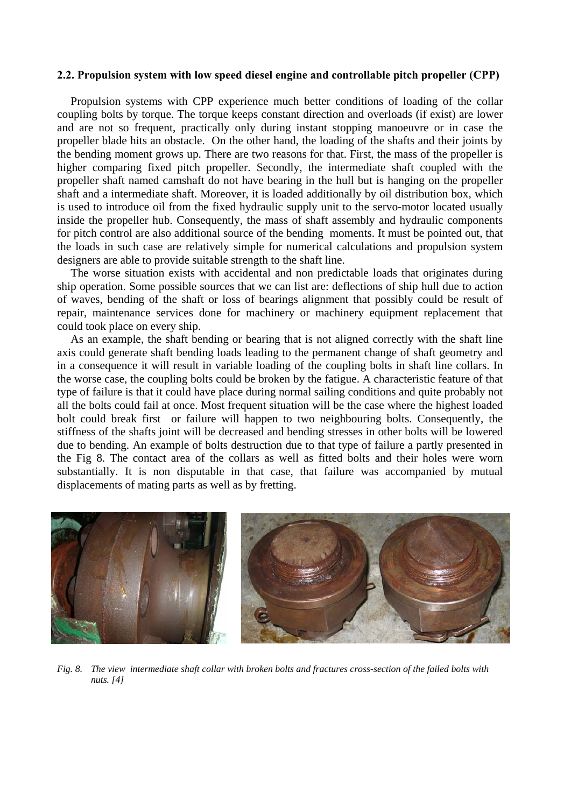#### **2.2. Propulsion system with low speed diesel engine and controllable pitch propeller (CPP)**

Propulsion systems with CPP experience much better conditions of loading of the collar coupling bolts by torque. The torque keeps constant direction and overloads (if exist) are lower and are not so frequent, practically only during instant stopping manoeuvre or in case the propeller blade hits an obstacle. On the other hand, the loading of the shafts and their joints by the bending moment grows up. There are two reasons for that. First, the mass of the propeller is higher comparing fixed pitch propeller. Secondly, the intermediate shaft coupled with the propeller shaft named camshaft do not have bearing in the hull but is hanging on the propeller shaft and a intermediate shaft. Moreover, it is loaded additionally by oil distribution box, which is used to introduce oil from the fixed hydraulic supply unit to the servo-motor located usually inside the propeller hub. Consequently, the mass of shaft assembly and hydraulic components for pitch control are also additional source of the bending moments. It must be pointed out, that the loads in such case are relatively simple for numerical calculations and propulsion system designers are able to provide suitable strength to the shaft line.

The worse situation exists with accidental and non predictable loads that originates during ship operation. Some possible sources that we can list are: deflections of ship hull due to action of waves, bending of the shaft or loss of bearings alignment that possibly could be result of repair, maintenance services done for machinery or machinery equipment replacement that could took place on every ship.

As an example, the shaft bending or bearing that is not aligned correctly with the shaft line axis could generate shaft bending loads leading to the permanent change of shaft geometry and in a consequence it will result in variable loading of the coupling bolts in shaft line collars. In the worse case, the coupling bolts could be broken by the fatigue. A characteristic feature of that type of failure is that it could have place during normal sailing conditions and quite probably not all the bolts could fail at once. Most frequent situation will be the case where the highest loaded bolt could break first or failure will happen to two neighbouring bolts. Consequently, the stiffness of the shafts joint will be decreased and bending stresses in other bolts will be lowered due to bending. An example of bolts destruction due to that type of failure a partly presented in the Fig 8. The contact area of the collars as well as fitted bolts and their holes were worn substantially. It is non disputable in that case, that failure was accompanied by mutual displacements of mating parts as well as by fretting.

![](_page_6_Picture_4.jpeg)

*Fig. 8. The view intermediate shaft collar with broken bolts and fractures cross-section of the failed bolts with nuts. [4]*